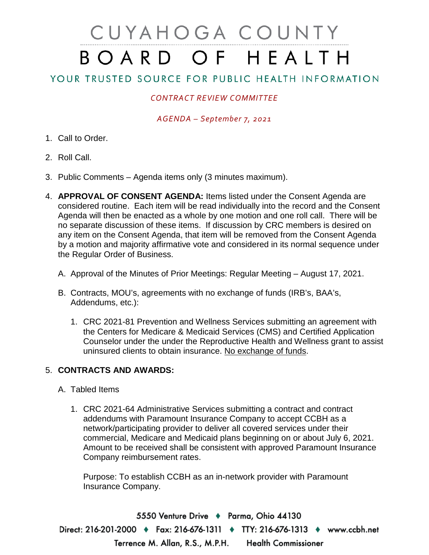# CUYAHOGA COUNTY BOARD OF HEALTH

## YOUR TRUSTED SOURCE FOR PUBLIC HEALTH INFORMATION

## *CONTRACT REVIEW COMMITTEE*

### *AGENDA – September 7, 2021*

- 1. Call to Order.
- 2. Roll Call.
- 3. Public Comments Agenda items only (3 minutes maximum).
- 4. **APPROVAL OF CONSENT AGENDA:** Items listed under the Consent Agenda are considered routine. Each item will be read individually into the record and the Consent Agenda will then be enacted as a whole by one motion and one roll call. There will be no separate discussion of these items. If discussion by CRC members is desired on any item on the Consent Agenda, that item will be removed from the Consent Agenda by a motion and majority affirmative vote and considered in its normal sequence under the Regular Order of Business.
	- A. Approval of the Minutes of Prior Meetings: Regular Meeting August 17, 2021.
	- B. Contracts, MOU's, agreements with no exchange of funds (IRB's, BAA's, Addendums, etc.):
		- 1. CRC 2021-81 Prevention and Wellness Services submitting an agreement with the Centers for Medicare & Medicaid Services (CMS) and Certified Application Counselor under the under the Reproductive Health and Wellness grant to assist uninsured clients to obtain insurance. No exchange of funds.

### 5. **CONTRACTS AND AWARDS:**

#### A. Tabled Items

1. CRC 2021-64 Administrative Services submitting a contract and contract addendums with Paramount Insurance Company to accept CCBH as a network/participating provider to deliver all covered services under their commercial, Medicare and Medicaid plans beginning on or about July 6, 2021. Amount to be received shall be consistent with approved Paramount Insurance Company reimbursement rates.

Purpose: To establish CCBH as an in-network provider with Paramount Insurance Company.

5550 Venture Drive + Parma, Ohio 44130 Direct: 216-201-2000 ♦ Fax: 216-676-1311 ♦ TTY: 216-676-1313 ♦ www.ccbh.net Terrence M. Allan, R.S., M.P.H. **Health Commissioner**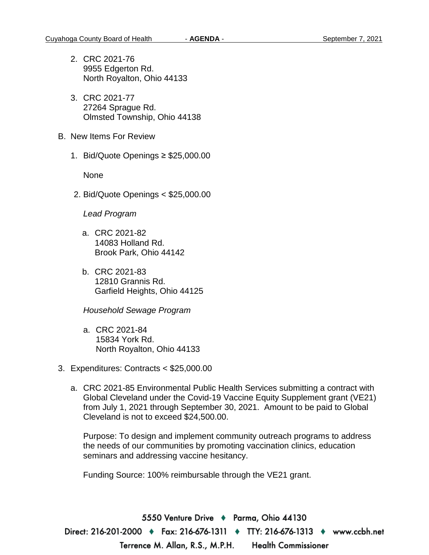- 2. CRC 2021-76 9955 Edgerton Rd. North Royalton, Ohio 44133
- 3. CRC 2021-77 27264 Sprague Rd. Olmsted Township, Ohio 44138
- B. New Items For Review
	- 1. Bid/Quote Openings ≥ \$25,000.00

None

2. Bid/Quote Openings < \$25,000.00

*Lead Program* 

- a. CRC 2021-82 14083 Holland Rd. Brook Park, Ohio 44142
- b. CRC 2021-83 12810 Grannis Rd. Garfield Heights, Ohio 44125

*Household Sewage Program* 

- a. CRC 2021-84 15834 York Rd. North Royalton, Ohio 44133
- 3. Expenditures: Contracts < \$25,000.00
	- a. CRC 2021-85 Environmental Public Health Services submitting a contract with Global Cleveland under the Covid-19 Vaccine Equity Supplement grant (VE21) from July 1, 2021 through September 30, 2021. Amount to be paid to Global Cleveland is not to exceed \$24,500.00.

Purpose: To design and implement community outreach programs to address the needs of our communities by promoting vaccination clinics, education seminars and addressing vaccine hesitancy.

Funding Source: 100% reimbursable through the VE21 grant.

5550 Venture Drive ♦ Parma, Ohio 44130 Direct: 216-201-2000 ♦ Fax: 216-676-1311 ♦ TTY: 216-676-1313 ♦ www.ccbh.net Terrence M. Allan, R.S., M.P.H. **Health Commissioner**